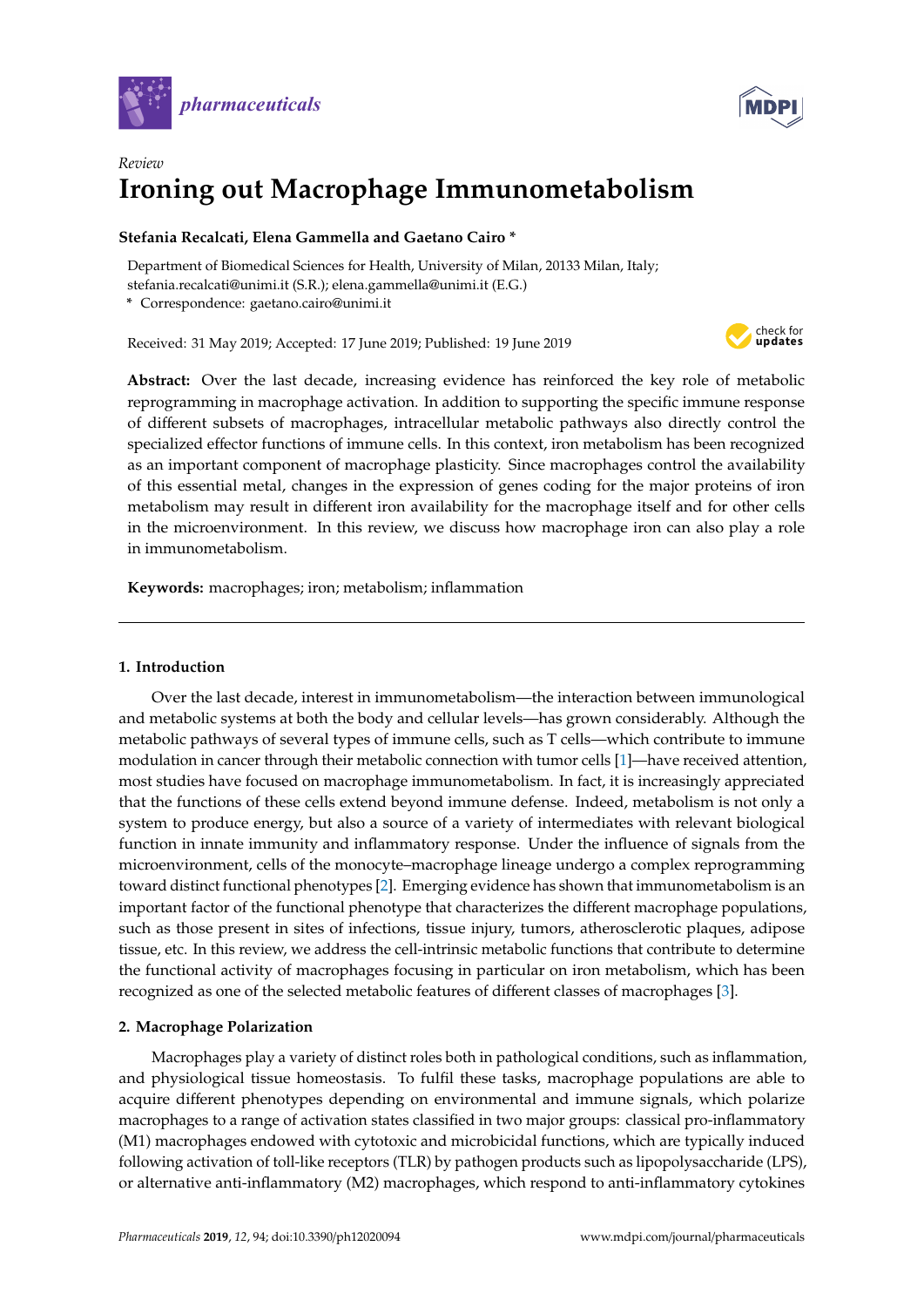



# *Review* **Ironing out Macrophage Immunometabolism**

# **Stefania Recalcati, Elena Gammella and Gaetano Cairo \***

Department of Biomedical Sciences for Health, University of Milan, 20133 Milan, Italy; stefania.recalcati@unimi.it (S.R.); elena.gammella@unimi.it (E.G.)

**\*** Correspondence: gaetano.cairo@unimi.it

Received: 31 May 2019; Accepted: 17 June 2019; Published: 19 June 2019



**Abstract:** Over the last decade, increasing evidence has reinforced the key role of metabolic reprogramming in macrophage activation. In addition to supporting the specific immune response of different subsets of macrophages, intracellular metabolic pathways also directly control the specialized effector functions of immune cells. In this context, iron metabolism has been recognized as an important component of macrophage plasticity. Since macrophages control the availability of this essential metal, changes in the expression of genes coding for the major proteins of iron metabolism may result in different iron availability for the macrophage itself and for other cells in the microenvironment. In this review, we discuss how macrophage iron can also play a role in immunometabolism.

**Keywords:** macrophages; iron; metabolism; inflammation

### **1. Introduction**

Over the last decade, interest in immunometabolism—the interaction between immunological and metabolic systems at both the body and cellular levels—has grown considerably. Although the metabolic pathways of several types of immune cells, such as T cells—which contribute to immune modulation in cancer through their metabolic connection with tumor cells [\[1\]](#page-7-0)—have received attention, most studies have focused on macrophage immunometabolism. In fact, it is increasingly appreciated that the functions of these cells extend beyond immune defense. Indeed, metabolism is not only a system to produce energy, but also a source of a variety of intermediates with relevant biological function in innate immunity and inflammatory response. Under the influence of signals from the microenvironment, cells of the monocyte–macrophage lineage undergo a complex reprogramming toward distinct functional phenotypes [\[2\]](#page-7-1). Emerging evidence has shown that immunometabolism is an important factor of the functional phenotype that characterizes the different macrophage populations, such as those present in sites of infections, tissue injury, tumors, atherosclerotic plaques, adipose tissue, etc. In this review, we address the cell-intrinsic metabolic functions that contribute to determine the functional activity of macrophages focusing in particular on iron metabolism, which has been recognized as one of the selected metabolic features of different classes of macrophages [\[3\]](#page-7-2).

# **2. Macrophage Polarization**

Macrophages play a variety of distinct roles both in pathological conditions, such as inflammation, and physiological tissue homeostasis. To fulfil these tasks, macrophage populations are able to acquire different phenotypes depending on environmental and immune signals, which polarize macrophages to a range of activation states classified in two major groups: classical pro-inflammatory (M1) macrophages endowed with cytotoxic and microbicidal functions, which are typically induced following activation of toll-like receptors (TLR) by pathogen products such as lipopolysaccharide (LPS), or alternative anti-inflammatory (M2) macrophages, which respond to anti-inflammatory cytokines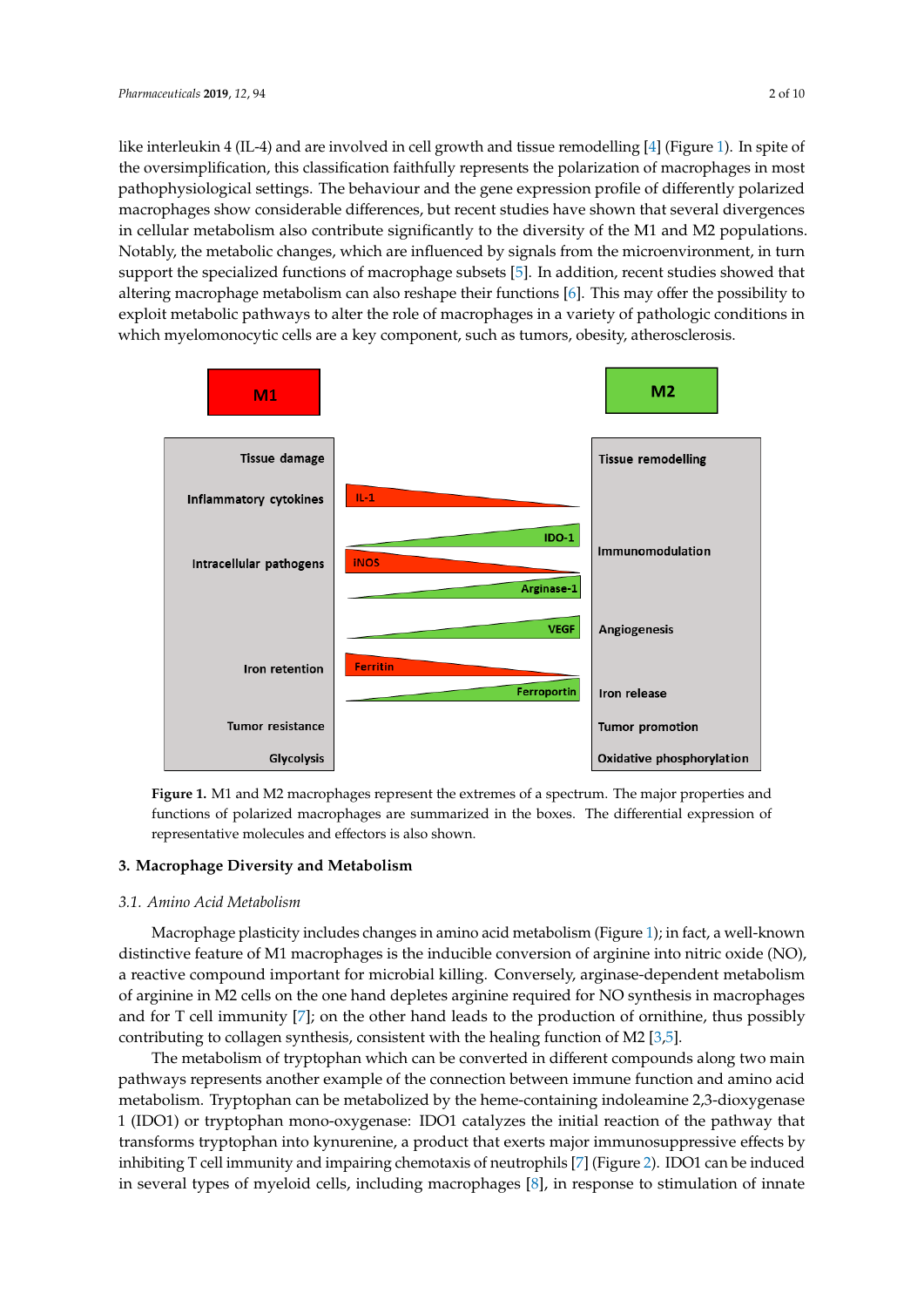like interleukin 4 (IL-4) and are involved in cell growth and tissue remodelling [\[4\]](#page-7-3) (Figure [1\)](#page-1-0). In spite of the oversimplification, this classification faithfully represents the polarization of macrophages in most phenomenological settings. The behaviour and the generality represents the polarization of macrophages in most pathophysiological settings. The behaviour and the gene expression profile of differently polarized pathophysiological settings. The behaviour and the gene expression profile of differently polarized process show considerable differences, but recent studies have shown that several divergences in cellular metabolism also contribute significantly to the diversity of the M1 and M2 populations. notably, the metabolic changes, which are influenced by signals from the microenvironment, in turn Notably, the metabolic changes, which are influenced by signals from the microenvironment, in turn subsets and the specialized functions of macrophage subsets [\[5\]](#page-7-4). In addition, recent studies showed that support the specialized functions of macrophage subsets [5]. In addition, recent studies showed that altering macrophage metabolism can also reshape their functions  $[6]$ . This may offer the possibility to altering macrophage metabolism can also reshape their functions  $[6]$ . This may offer the possibility to exploit metabolic pathways to alter the role of macrophages in a variety of pathologic conditions in which myelomonocytic cells are a key component, such as tumors, obesity, atherosclerosis. component, such as tumors, obesity, atherosclerosis.

<span id="page-1-0"></span>

**Figure 1.** M1 and M2 macrophages represent the extremes of a spectrum. The major properties and functions of polarized macrophages are summarized in the boxes. The differential expression of functions of polarized macrophages are summarized in the boxes. The difference in the boxes. The differential expression of  $\epsilon$ representative molecules and effectors is also shown. representative molecules and effectors is also shown. **Figure 1.** M1 and M2 macrophages represent the extremes of a spectrum. The major properties and

#### **3. Macrophage Diversity and Metabolism**

#### *3.1. Amino Acid Metabolism*

*3.1. Amino Acid Metabolism*  Macrophage plasticity includes changes in amino acid metabolism (Figure [1\)](#page-1-0); in fact, a well-known distinctive feature of M1 macrophages is the inducible conversion of arginine into nitric oxide (NO), a reactive compound important for microbial killing. Conversely, arginase-dependent metabolism of arginine in M2 cells on the one hand depletes arginine required for NO synthesis in macrophages and for T cell immunity  $[7]$ ; on the other hand leads to the production of ornithine, thus possibly contrib[u](#page-7-4)ting to collagen synthesis, consistent with the healing function of M2 [3,5].

The metabolism of tryptophan which can be converted in different compounds along two main pathways represents another example of the connection between immune function and amino acid metabolism. Tryptophan can be metabolized by the heme-containing indoleamine 2,3-dioxygenase 1 (IDO1) or tryptophan mono-oxygenase: IDO1 catalyzes the initial reaction of the pathway that transforms tryptophan into kynurenine, a product that exerts major immunosuppressive effects by inhibiting T cell immunity and impairing chemotaxis of neutrophils [7] (Figure 2). IDO1 can be induced in several types of myeloid cells, including macrophages [8], in response to stimulation of innate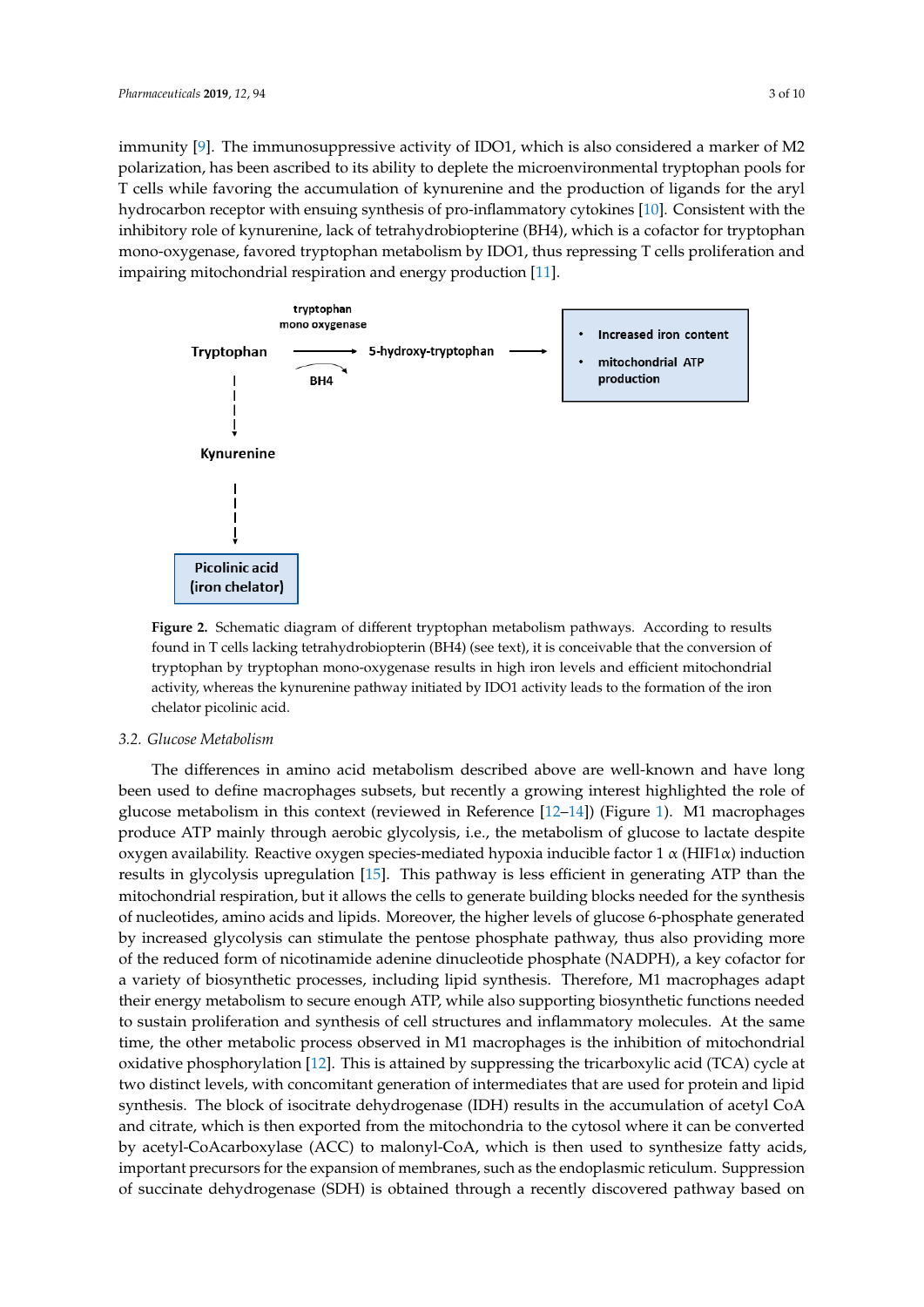immunity [\[9\]](#page-7-8). The immunosuppressive activity of IDO1, which is also considered a marker of M2 polarization, has been ascribed to its ability to deplete the microenvironmental tryptophan pools for<br>Taulor in the argle of the production of the production of the argle of the argle of the argle of the argle of T cells while favoring the accumulation of kynurenine and the production of ligands for the aryl hydrocarbon receptor with ensuing synthesis of pro-inflammatory cytokines [\[10\]](#page-7-9). Consistent with the inhibitory role of kynurenine, lack of tetrahydrobiopterine (BH4), which is a cofactor for tryptophan metaboli<br>T cells in T cells in T cells in T cells in T cells in T cells in T cells in T cells in T cells in T cells in mono-oxygenase, favored tryptophan metabolism by IDO1, thus repressing T cells proliferation and<br>. impairing mitochondrial respiration and energy production [\[11\]](#page-7-10). innate immunity [9]. The immunosuppressive activity of IDO1, which is also considered a marker of munitumy [7]. The minitum suppressive activity of IDOT, which is also considered a market of M2

<span id="page-2-0"></span>

**Figure 2.** Schematic diagram of different tryptophan metabolism pathways. According to results  $\mathbf{F} = \mathbf{F} \cdot \mathbf{F} \cdot \mathbf{F} \cdot \mathbf{F} \cdot \mathbf{F} \cdot \mathbf{F} \cdot \mathbf{F} \cdot \mathbf{F} \cdot \mathbf{F} \cdot \mathbf{F} \cdot \mathbf{F} \cdot \mathbf{F} \cdot \mathbf{F} \cdot \mathbf{F} \cdot \mathbf{F}$ found in T cells lacking tetrahydrobiopterin (BH4) (see text), it is conceivable that the conversion of tryptophan by tryptophan mono-oxygenase results in high iron levels and efficient mitochondrial  $t_{\rm F}$  tryptophan by tryptophan mono-oxygenase results in high iron levels and effective  $\frac{1}{2}$ activity, whereas the kynurenine pathway initiated by IDO1 activity leads to the formation of the activity, whereas the kynurenine pathway initiated by IDO1 activity leads to the formation of the iron chelator picolinic acid. found in T cells lacking tetrahydrobiopterin (BH4) (see text), it is conceivable that the conversion of

#### *3.2. Glucose Metabolism*

*3.2. Glucose Metabolism*  been used to define macrophages subsets, but recently a growing interest highlighted the role of glucose metabolism in this co[nte](#page-7-11)xt (reviewed in Reference [12–14]) (Figure [1\)](#page-1-0). M1 macrophages produce ATP mainly through aerobic glycolysis, i.e., the metabolism of glucose to lactate despite oxygen availability. Reactive oxygen species-mediated hypoxia inducible factor 1 α (HIF1α) induction results in glycolysis upregulation [\[15\]](#page-7-13). This pathway is less efficient in generating ATP than the mitochondrial respiration, but it allows the cells to generate building blocks needed for the synthesis of nucleotides, amino acids and lipids. Moreover, the higher levels of glucose 6-phosphate generated by increased glycolysis can stimulate the pentose phosphate pathway, thus also providing more of the reduced form of nicotinamide adenine dinucleotide phosphate (NADPH), a key cofactor for a variety of biosynthetic processes, including lipid synthesis. Therefore, M1 macrophages adapt their energy metabolism to secure enough ATP, while also supporting biosynthetic functions needed to sustain proliferation and synthesis of cell structures and inflammatory molecules. At the same time, the other metabolic process observed in M1 macrophages is the inhibition of mitochondrial oxidative phosphorylation [\[12\]](#page-7-11). This is attained by suppressing the tricarboxylic acid (TCA) cycle at two distinct levels, with concomitant generation of intermediates that are used for protein and lipid synthesis. The block of isocitrate dehydrogenase (IDH) results in the accumulation of acetyl CoA and citrate, which is then exported from the mitochondria to the cytosol where it can be converted by acetyl-CoAcarboxylase (ACC) to malonyl-CoA, which is then used to synthesize fatty acids, important precursors for the expansion of membranes, such as the endoplasmic reticulum. Suppression of succinate dehydrogenase (SDH) is obtained through a recently discovered pathway based on The differences in amino acid metabolism described above are well-known and have long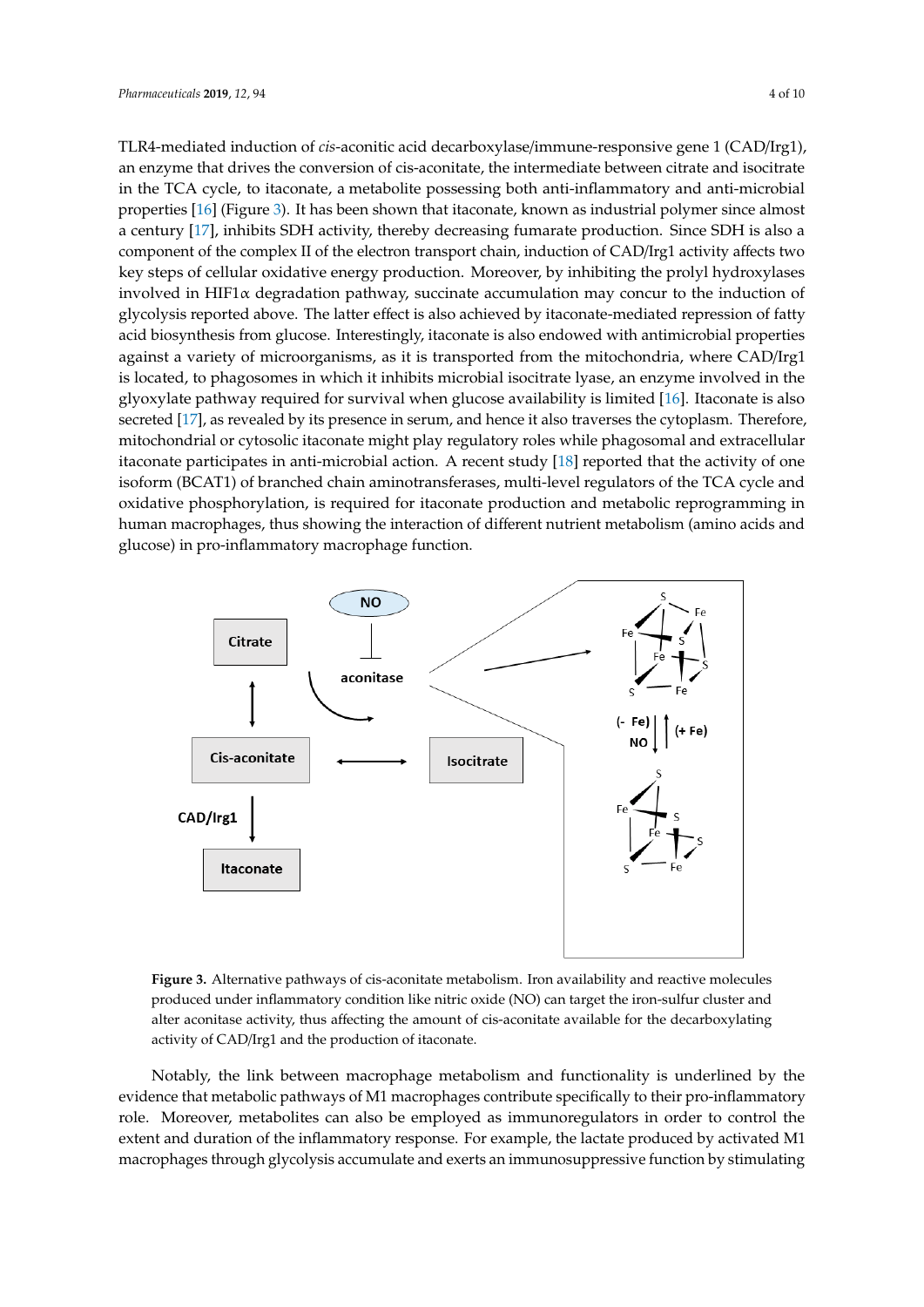TLR4-mediated induction of *cis*-aconitic acid decarboxylase/immune-responsive gene 1 (CAD/Irg1), an enzyme that drives the conversion of cis-aconitate, the intermediate between citrate and isocitrate in the TCA cycle, to itaconate, a metabolite possessing both anti-inflammatory and anti-microbial properties [\[16\]](#page-7-14) (Figure [3\)](#page-3-0). It has been shown that itaconate, known as industrial polymer since almost a century [\[17\]](#page-7-15), inhibits SDH activity, thereby decreasing fumarate production. Since SDH is also a component of the complex II of the electron transport chain, induction of CAD/Irg1 activity affects two key steps of cellular oxidative energy production. Moreover, by inhibiting the prolyl hydroxylases involved in HIF1 $\alpha$  degradation pathway, succinate accumulation may concur to the induction of glycolysis reported above. The latter effect is also achieved by itaconate-mediated repression of fatty acid biosynthesis from glucose. Interestingly, itaconate is also endowed with antimicrobial properties against a variety of microorganisms, as it is transported from the mitochondria, where CAD/Irg1 is located, to phagosomes in which it inhibits microbial isocitrate lyase, an enzyme involved in the glyoxylate pathway required for survival when glucose availability is limited [\[16\]](#page-7-14). Itaconate is also secreted [\[17\]](#page-7-15), as revealed by its presence in serum, and hence it also traverses the cytoplasm. Therefore, mitochondrial or cytosolic itaconate might play regulatory roles while phagosomal and extracellular itaconate participates in anti-microbial action. A recent study [\[18\]](#page-8-0) reported that the activity of one isoform (BCAT1) of branched chain aminotransferases, multi-level regulators of the TCA cycle and oxidative phosphorylation, is required for itaconate production and metabolic reprogramming in human macrophages, thus showing the interaction of different nutrient metabolism (amino acids and glucose) in pro-inflammatory macrophage function.

<span id="page-3-0"></span>

produced under inflammatory condition like nitric oxide (NO) can target the iron-sulfur cluster and n<br>alter aconitase activity, thus affecting the amount of cis-aconitate available for the decarboxylating activity of CAD/Irg1 and the production of itaconate. **Figure 3.** Alternative pathways of cis-aconitate metabolism. Iron availability and reactive molecules

activity of  $\mathcal{L}$  and the production of itaconate.

evidence that metabolic pathways of M1 macrophages contribute specifically to their pro-inflammatory role. Moreover, metabolites can also be employed as immunoregulators in order to control the extent and duration of the inflammatory response. For example, the lactate produced by activated M1 macrophages through glycolysis accumulate and exerts an immunosuppressive function by stimulating Notably, the link between macrophage metabolism and functionality is underlined by the

iNOS restored mitochondrial ATP production through oxidative metabolism in M1 macrophages.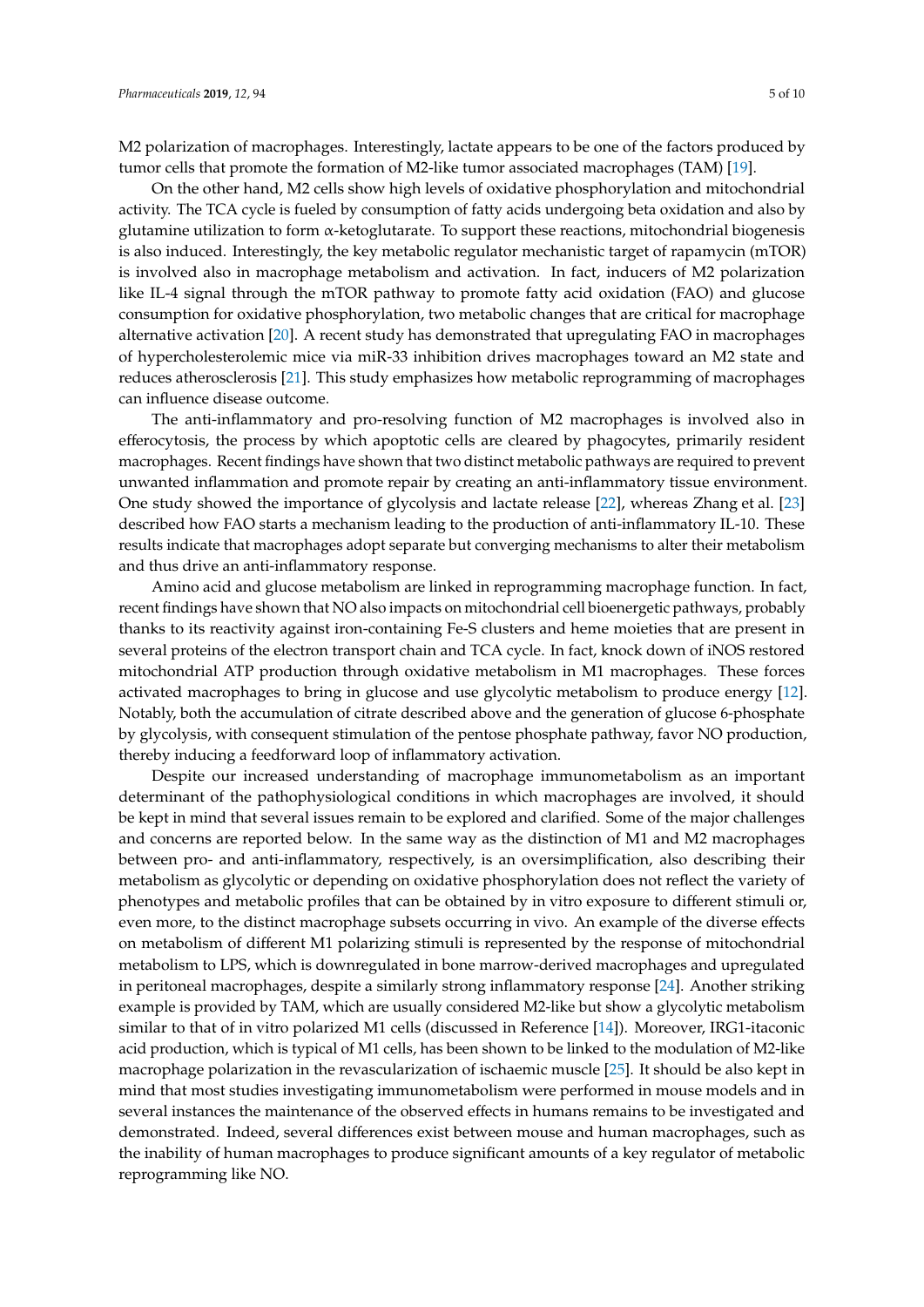M2 polarization of macrophages. Interestingly, lactate appears to be one of the factors produced by tumor cells that promote the formation of M2-like tumor associated macrophages (TAM) [\[19\]](#page-8-1).

On the other hand, M2 cells show high levels of oxidative phosphorylation and mitochondrial activity. The TCA cycle is fueled by consumption of fatty acids undergoing beta oxidation and also by glutamine utilization to form α-ketoglutarate. To support these reactions, mitochondrial biogenesis is also induced. Interestingly, the key metabolic regulator mechanistic target of rapamycin (mTOR) is involved also in macrophage metabolism and activation. In fact, inducers of M2 polarization like IL-4 signal through the mTOR pathway to promote fatty acid oxidation (FAO) and glucose consumption for oxidative phosphorylation, two metabolic changes that are critical for macrophage alternative activation [\[20\]](#page-8-2). A recent study has demonstrated that upregulating FAO in macrophages of hypercholesterolemic mice via miR-33 inhibition drives macrophages toward an M2 state and reduces atherosclerosis [\[21\]](#page-8-3). This study emphasizes how metabolic reprogramming of macrophages can influence disease outcome.

The anti-inflammatory and pro-resolving function of M2 macrophages is involved also in efferocytosis, the process by which apoptotic cells are cleared by phagocytes, primarily resident macrophages. Recent findings have shown that two distinct metabolic pathways are required to prevent unwanted inflammation and promote repair by creating an anti-inflammatory tissue environment. One study showed the importance of glycolysis and lactate release [\[22\]](#page-8-4), whereas Zhang et al. [\[23\]](#page-8-5) described how FAO starts a mechanism leading to the production of anti-inflammatory IL-10. These results indicate that macrophages adopt separate but converging mechanisms to alter their metabolism and thus drive an anti-inflammatory response.

Amino acid and glucose metabolism are linked in reprogramming macrophage function. In fact, recent findings have shown that NO also impacts on mitochondrial cell bioenergetic pathways, probably thanks to its reactivity against iron-containing Fe-S clusters and heme moieties that are present in several proteins of the electron transport chain and TCA cycle. In fact, knock down of iNOS restored mitochondrial ATP production through oxidative metabolism in M1 macrophages. These forces activated macrophages to bring in glucose and use glycolytic metabolism to produce energy [\[12\]](#page-7-11). Notably, both the accumulation of citrate described above and the generation of glucose 6-phosphate by glycolysis, with consequent stimulation of the pentose phosphate pathway, favor NO production, thereby inducing a feedforward loop of inflammatory activation.

Despite our increased understanding of macrophage immunometabolism as an important determinant of the pathophysiological conditions in which macrophages are involved, it should be kept in mind that several issues remain to be explored and clarified. Some of the major challenges and concerns are reported below. In the same way as the distinction of M1 and M2 macrophages between pro- and anti-inflammatory, respectively, is an oversimplification, also describing their metabolism as glycolytic or depending on oxidative phosphorylation does not reflect the variety of phenotypes and metabolic profiles that can be obtained by in vitro exposure to different stimuli or, even more, to the distinct macrophage subsets occurring in vivo. An example of the diverse effects on metabolism of different M1 polarizing stimuli is represented by the response of mitochondrial metabolism to LPS, which is downregulated in bone marrow-derived macrophages and upregulated in peritoneal macrophages, despite a similarly strong inflammatory response [\[24\]](#page-8-6). Another striking example is provided by TAM, which are usually considered M2-like but show a glycolytic metabolism similar to that of in vitro polarized M1 cells (discussed in Reference [\[14\]](#page-7-12)). Moreover, IRG1-itaconic acid production, which is typical of M1 cells, has been shown to be linked to the modulation of M2-like macrophage polarization in the revascularization of ischaemic muscle [\[25\]](#page-8-7). It should be also kept in mind that most studies investigating immunometabolism were performed in mouse models and in several instances the maintenance of the observed effects in humans remains to be investigated and demonstrated. Indeed, several differences exist between mouse and human macrophages, such as the inability of human macrophages to produce significant amounts of a key regulator of metabolic reprogramming like NO.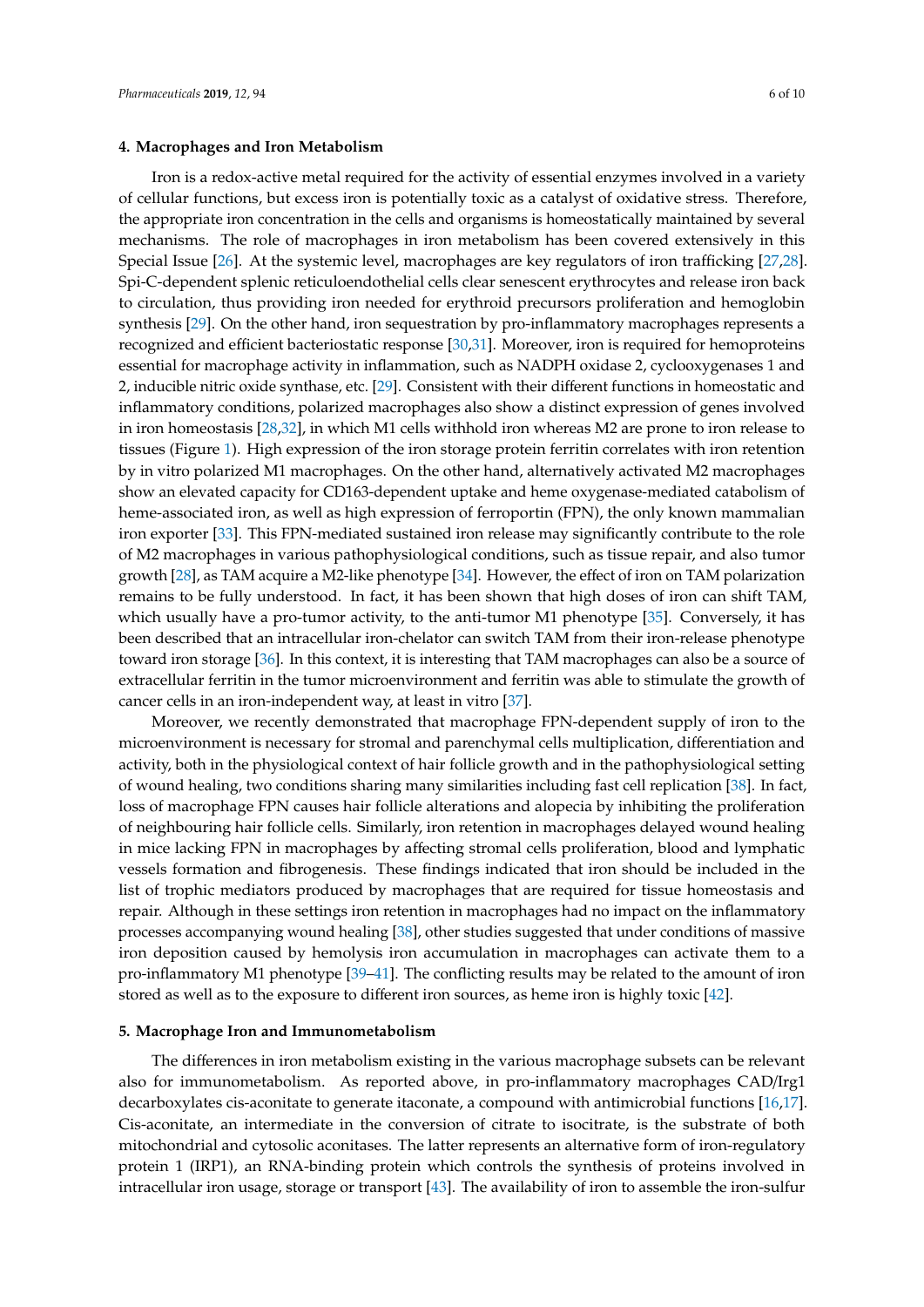Iron is a redox-active metal required for the activity of essential enzymes involved in a variety of cellular functions, but excess iron is potentially toxic as a catalyst of oxidative stress. Therefore, the appropriate iron concentration in the cells and organisms is homeostatically maintained by several mechanisms. The role of macrophages in iron metabolism has been covered extensively in this Special Issue [\[26\]](#page-8-8). At the systemic level, macrophages are key regulators of iron trafficking [\[27,](#page-8-9)[28\]](#page-8-10). Spi-C-dependent splenic reticuloendothelial cells clear senescent erythrocytes and release iron back to circulation, thus providing iron needed for erythroid precursors proliferation and hemoglobin synthesis [\[29\]](#page-8-11). On the other hand, iron sequestration by pro-inflammatory macrophages represents a recognized and efficient bacteriostatic response [\[30,](#page-8-12)[31\]](#page-8-13). Moreover, iron is required for hemoproteins essential for macrophage activity in inflammation, such as NADPH oxidase 2, cyclooxygenases 1 and 2, inducible nitric oxide synthase, etc. [\[29\]](#page-8-11). Consistent with their different functions in homeostatic and inflammatory conditions, polarized macrophages also show a distinct expression of genes involved in iron homeostasis [\[28](#page-8-10)[,32\]](#page-8-14), in which M1 cells withhold iron whereas M2 are prone to iron release to tissues (Figure [1\)](#page-1-0). High expression of the iron storage protein ferritin correlates with iron retention by in vitro polarized M1 macrophages. On the other hand, alternatively activated M2 macrophages show an elevated capacity for CD163-dependent uptake and heme oxygenase-mediated catabolism of heme-associated iron, as well as high expression of ferroportin (FPN), the only known mammalian iron exporter [\[33\]](#page-8-15). This FPN-mediated sustained iron release may significantly contribute to the role of M2 macrophages in various pathophysiological conditions, such as tissue repair, and also tumor growth [\[28\]](#page-8-10), as TAM acquire a M2-like phenotype [\[34\]](#page-8-16). However, the effect of iron on TAM polarization remains to be fully understood. In fact, it has been shown that high doses of iron can shift TAM, which usually have a pro-tumor activity, to the anti-tumor M1 phenotype [\[35\]](#page-8-17). Conversely, it has been described that an intracellular iron-chelator can switch TAM from their iron-release phenotype toward iron storage [\[36\]](#page-8-18). In this context, it is interesting that TAM macrophages can also be a source of extracellular ferritin in the tumor microenvironment and ferritin was able to stimulate the growth of cancer cells in an iron-independent way, at least in vitro [\[37\]](#page-8-19).

Moreover, we recently demonstrated that macrophage FPN-dependent supply of iron to the microenvironment is necessary for stromal and parenchymal cells multiplication, differentiation and activity, both in the physiological context of hair follicle growth and in the pathophysiological setting of wound healing, two conditions sharing many similarities including fast cell replication [\[38\]](#page-8-20). In fact, loss of macrophage FPN causes hair follicle alterations and alopecia by inhibiting the proliferation of neighbouring hair follicle cells. Similarly, iron retention in macrophages delayed wound healing in mice lacking FPN in macrophages by affecting stromal cells proliferation, blood and lymphatic vessels formation and fibrogenesis. These findings indicated that iron should be included in the list of trophic mediators produced by macrophages that are required for tissue homeostasis and repair. Although in these settings iron retention in macrophages had no impact on the inflammatory processes accompanying wound healing [\[38\]](#page-8-20), other studies suggested that under conditions of massive iron deposition caused by hemolysis iron accumulation in macrophages can activate them to a pro-inflammatory M1 phenotype [\[39](#page-9-0)[–41\]](#page-9-1). The conflicting results may be related to the amount of iron stored as well as to the exposure to different iron sources, as heme iron is highly toxic [\[42\]](#page-9-2).

#### **5. Macrophage Iron and Immunometabolism**

The differences in iron metabolism existing in the various macrophage subsets can be relevant also for immunometabolism. As reported above, in pro-inflammatory macrophages CAD/Irg1 decarboxylates cis-aconitate to generate itaconate, a compound with antimicrobial functions [\[16,](#page-7-14)[17\]](#page-7-15). Cis-aconitate, an intermediate in the conversion of citrate to isocitrate, is the substrate of both mitochondrial and cytosolic aconitases. The latter represents an alternative form of iron-regulatory protein 1 (IRP1), an RNA-binding protein which controls the synthesis of proteins involved in intracellular iron usage, storage or transport [\[43\]](#page-9-3). The availability of iron to assemble the iron-sulfur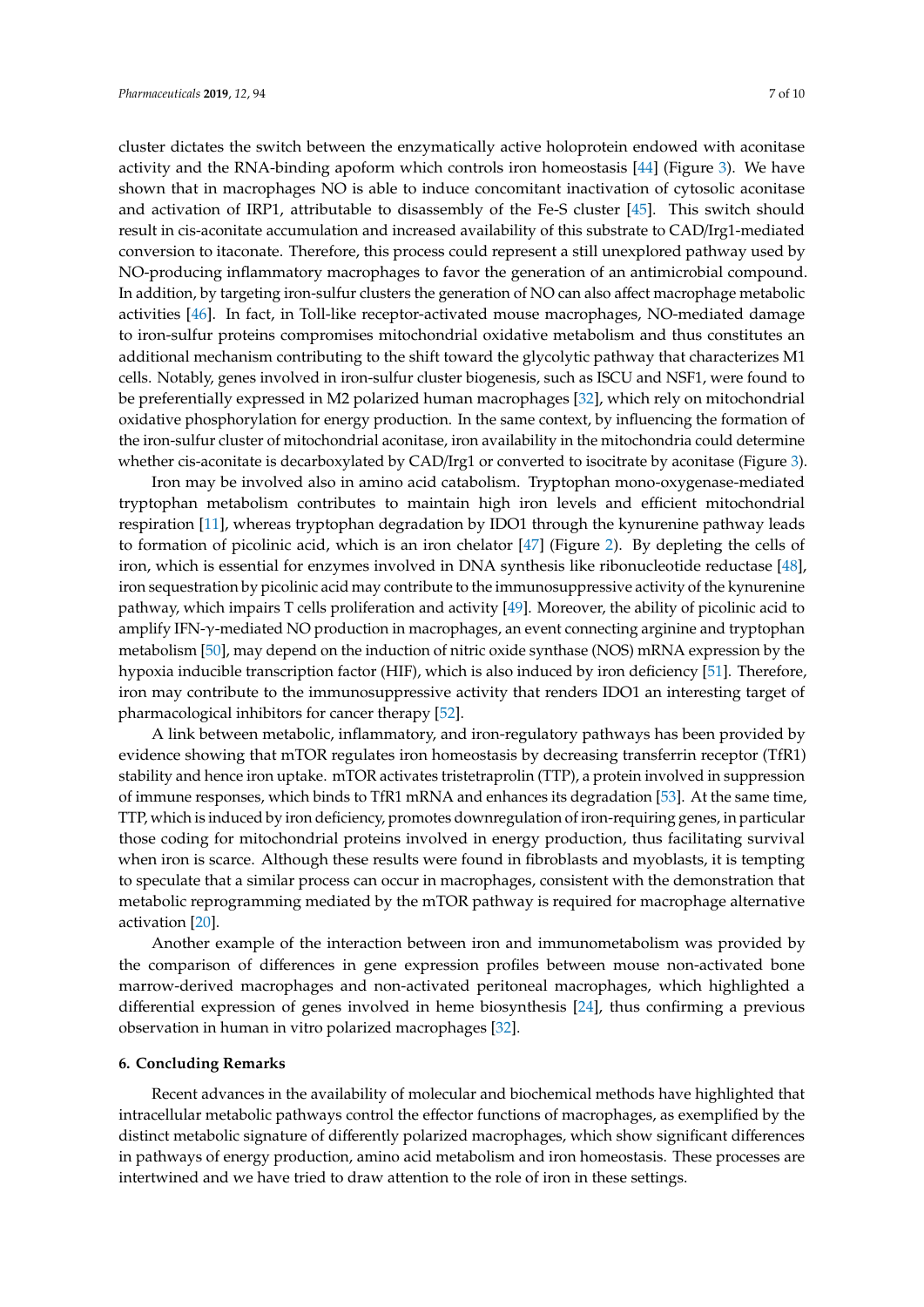shown that in macrophages NO is able to induce concomitant inactivation of cytosolic aconitase and activation of IRP1, attributable to disassembly of the Fe-S cluster [\[45\]](#page-9-5). This switch should result in cis-aconitate accumulation and increased availability of this substrate to CAD/Irg1-mediated conversion to itaconate. Therefore, this process could represent a still unexplored pathway used by NO-producing inflammatory macrophages to favor the generation of an antimicrobial compound. In addition, by targeting iron-sulfur clusters the generation of NO can also affect macrophage metabolic activities [\[46\]](#page-9-6). In fact, in Toll-like receptor-activated mouse macrophages, NO-mediated damage to iron-sulfur proteins compromises mitochondrial oxidative metabolism and thus constitutes an additional mechanism contributing to the shift toward the glycolytic pathway that characterizes M1 cells. Notably, genes involved in iron-sulfur cluster biogenesis, such as ISCU and NSF1, were found to be preferentially expressed in M2 polarized human macrophages [\[32\]](#page-8-14), which rely on mitochondrial oxidative phosphorylation for energy production. In the same context, by influencing the formation of the iron-sulfur cluster of mitochondrial aconitase, iron availability in the mitochondria could determine whether cis-aconitate is decarboxylated by CAD/Irg1 or converted to isocitrate by aconitase (Figure [3\)](#page-3-0).

Iron may be involved also in amino acid catabolism. Tryptophan mono-oxygenase-mediated tryptophan metabolism contributes to maintain high iron levels and efficient mitochondrial respiration [\[11\]](#page-7-10), whereas tryptophan degradation by IDO1 through the kynurenine pathway leads to formation of picolinic acid, which is an iron chelator [\[47\]](#page-9-7) (Figure [2\)](#page-2-0). By depleting the cells of iron, which is essential for enzymes involved in DNA synthesis like ribonucleotide reductase [\[48\]](#page-9-8), iron sequestration by picolinic acid may contribute to the immunosuppressive activity of the kynurenine pathway, which impairs T cells proliferation and activity [\[49\]](#page-9-9). Moreover, the ability of picolinic acid to amplify IFN-γ-mediated NO production in macrophages, an event connecting arginine and tryptophan metabolism [\[50\]](#page-9-10), may depend on the induction of nitric oxide synthase (NOS) mRNA expression by the hypoxia inducible transcription factor (HIF), which is also induced by iron deficiency [\[51\]](#page-9-11). Therefore, iron may contribute to the immunosuppressive activity that renders IDO1 an interesting target of pharmacological inhibitors for cancer therapy [\[52\]](#page-9-12).

A link between metabolic, inflammatory, and iron-regulatory pathways has been provided by evidence showing that mTOR regulates iron homeostasis by decreasing transferrin receptor (TfR1) stability and hence iron uptake. mTOR activates tristetraprolin (TTP), a protein involved in suppression of immune responses, which binds to TfR1 mRNA and enhances its degradation [\[53\]](#page-9-13). At the same time, TTP, which is induced by iron deficiency, promotes downregulation of iron-requiring genes, in particular those coding for mitochondrial proteins involved in energy production, thus facilitating survival when iron is scarce. Although these results were found in fibroblasts and myoblasts, it is tempting to speculate that a similar process can occur in macrophages, consistent with the demonstration that metabolic reprogramming mediated by the mTOR pathway is required for macrophage alternative activation [\[20\]](#page-8-2).

Another example of the interaction between iron and immunometabolism was provided by the comparison of differences in gene expression profiles between mouse non-activated bone marrow-derived macrophages and non-activated peritoneal macrophages, which highlighted a differential expression of genes involved in heme biosynthesis [\[24\]](#page-8-6), thus confirming a previous observation in human in vitro polarized macrophages [\[32\]](#page-8-14).

#### **6. Concluding Remarks**

Recent advances in the availability of molecular and biochemical methods have highlighted that intracellular metabolic pathways control the effector functions of macrophages, as exemplified by the distinct metabolic signature of differently polarized macrophages, which show significant differences in pathways of energy production, amino acid metabolism and iron homeostasis. These processes are intertwined and we have tried to draw attention to the role of iron in these settings.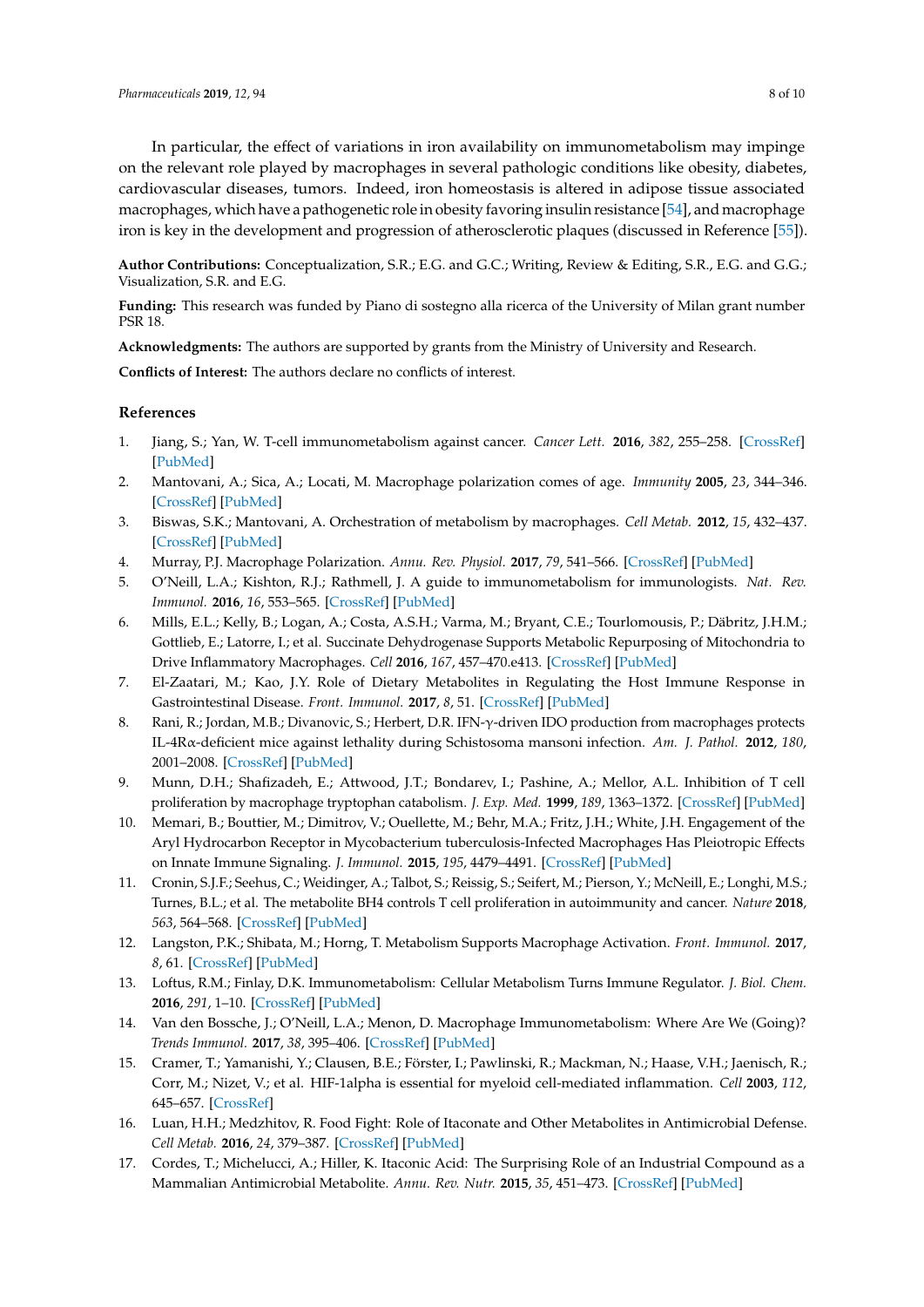In particular, the effect of variations in iron availability on immunometabolism may impinge on the relevant role played by macrophages in several pathologic conditions like obesity, diabetes, cardiovascular diseases, tumors. Indeed, iron homeostasis is altered in adipose tissue associated macrophages, which have a pathogenetic role in obesity favoring insulin resistance [\[54\]](#page-9-14), and macrophage iron is key in the development and progression of atherosclerotic plaques (discussed in Reference [\[55\]](#page-9-15)).

**Author Contributions:** Conceptualization, S.R.; E.G. and G.C.; Writing, Review & Editing, S.R., E.G. and G.G.; Visualization, S.R. and E.G.

**Funding:** This research was funded by Piano di sostegno alla ricerca of the University of Milan grant number PSR 18.

**Acknowledgments:** The authors are supported by grants from the Ministry of University and Research.

**Conflicts of Interest:** The authors declare no conflicts of interest.

# **References**

- <span id="page-7-0"></span>1. Jiang, S.; Yan, W. T-cell immunometabolism against cancer. *Cancer Lett.* **2016**, *382*, 255–258. [\[CrossRef\]](http://dx.doi.org/10.1016/j.canlet.2016.09.003) [\[PubMed\]](http://www.ncbi.nlm.nih.gov/pubmed/27664755)
- <span id="page-7-1"></span>2. Mantovani, A.; Sica, A.; Locati, M. Macrophage polarization comes of age. *Immunity* **2005**, *23*, 344–346. [\[CrossRef\]](http://dx.doi.org/10.1016/j.immuni.2005.10.001) [\[PubMed\]](http://www.ncbi.nlm.nih.gov/pubmed/16226499)
- <span id="page-7-2"></span>3. Biswas, S.K.; Mantovani, A. Orchestration of metabolism by macrophages. *Cell Metab.* **2012**, *15*, 432–437. [\[CrossRef\]](http://dx.doi.org/10.1016/j.cmet.2011.11.013) [\[PubMed\]](http://www.ncbi.nlm.nih.gov/pubmed/22482726)
- <span id="page-7-3"></span>4. Murray, P.J. Macrophage Polarization. *Annu. Rev. Physiol.* **2017**, *79*, 541–566. [\[CrossRef\]](http://dx.doi.org/10.1146/annurev-physiol-022516-034339) [\[PubMed\]](http://www.ncbi.nlm.nih.gov/pubmed/27813830)
- <span id="page-7-4"></span>5. O'Neill, L.A.; Kishton, R.J.; Rathmell, J. A guide to immunometabolism for immunologists. *Nat. Rev. Immunol.* **2016**, *16*, 553–565. [\[CrossRef\]](http://dx.doi.org/10.1038/nri.2016.70) [\[PubMed\]](http://www.ncbi.nlm.nih.gov/pubmed/27396447)
- <span id="page-7-5"></span>6. Mills, E.L.; Kelly, B.; Logan, A.; Costa, A.S.H.; Varma, M.; Bryant, C.E.; Tourlomousis, P.; Däbritz, J.H.M.; Gottlieb, E.; Latorre, I.; et al. Succinate Dehydrogenase Supports Metabolic Repurposing of Mitochondria to Drive Inflammatory Macrophages. *Cell* **2016**, *167*, 457–470.e413. [\[CrossRef\]](http://dx.doi.org/10.1016/j.cell.2016.08.064) [\[PubMed\]](http://www.ncbi.nlm.nih.gov/pubmed/27667687)
- <span id="page-7-6"></span>7. El-Zaatari, M.; Kao, J.Y. Role of Dietary Metabolites in Regulating the Host Immune Response in Gastrointestinal Disease. *Front. Immunol.* **2017**, *8*, 51. [\[CrossRef\]](http://dx.doi.org/10.3389/fimmu.2017.00051) [\[PubMed\]](http://www.ncbi.nlm.nih.gov/pubmed/28191010)
- <span id="page-7-7"></span>8. Rani, R.; Jordan, M.B.; Divanovic, S.; Herbert, D.R. IFN-γ-driven IDO production from macrophages protects IL-4Rα-deficient mice against lethality during Schistosoma mansoni infection. *Am. J. Pathol.* **2012**, *180*, 2001–2008. [\[CrossRef\]](http://dx.doi.org/10.1016/j.ajpath.2012.01.013) [\[PubMed\]](http://www.ncbi.nlm.nih.gov/pubmed/22426339)
- <span id="page-7-8"></span>9. Munn, D.H.; Shafizadeh, E.; Attwood, J.T.; Bondarev, I.; Pashine, A.; Mellor, A.L. Inhibition of T cell proliferation by macrophage tryptophan catabolism. *J. Exp. Med.* **1999**, *189*, 1363–1372. [\[CrossRef\]](http://dx.doi.org/10.1084/jem.189.9.1363) [\[PubMed\]](http://www.ncbi.nlm.nih.gov/pubmed/10224276)
- <span id="page-7-9"></span>10. Memari, B.; Bouttier, M.; Dimitrov, V.; Ouellette, M.; Behr, M.A.; Fritz, J.H.; White, J.H. Engagement of the Aryl Hydrocarbon Receptor in Mycobacterium tuberculosis-Infected Macrophages Has Pleiotropic Effects on Innate Immune Signaling. *J. Immunol.* **2015**, *195*, 4479–4491. [\[CrossRef\]](http://dx.doi.org/10.4049/jimmunol.1501141) [\[PubMed\]](http://www.ncbi.nlm.nih.gov/pubmed/26416282)
- <span id="page-7-10"></span>11. Cronin, S.J.F.; Seehus, C.; Weidinger, A.; Talbot, S.; Reissig, S.; Seifert, M.; Pierson, Y.; McNeill, E.; Longhi, M.S.; Turnes, B.L.; et al. The metabolite BH4 controls T cell proliferation in autoimmunity and cancer. *Nature* **2018**, *563*, 564–568. [\[CrossRef\]](http://dx.doi.org/10.1038/s41586-018-0701-2) [\[PubMed\]](http://www.ncbi.nlm.nih.gov/pubmed/30405245)
- <span id="page-7-11"></span>12. Langston, P.K.; Shibata, M.; Horng, T. Metabolism Supports Macrophage Activation. *Front. Immunol.* **2017**, *8*, 61. [\[CrossRef\]](http://dx.doi.org/10.3389/fimmu.2017.00061) [\[PubMed\]](http://www.ncbi.nlm.nih.gov/pubmed/28197151)
- 13. Loftus, R.M.; Finlay, D.K. Immunometabolism: Cellular Metabolism Turns Immune Regulator. *J. Biol. Chem.* **2016**, *291*, 1–10. [\[CrossRef\]](http://dx.doi.org/10.1074/jbc.R115.693903) [\[PubMed\]](http://www.ncbi.nlm.nih.gov/pubmed/26534957)
- <span id="page-7-12"></span>14. Van den Bossche, J.; O'Neill, L.A.; Menon, D. Macrophage Immunometabolism: Where Are We (Going)? *Trends Immunol.* **2017**, *38*, 395–406. [\[CrossRef\]](http://dx.doi.org/10.1016/j.it.2017.03.001) [\[PubMed\]](http://www.ncbi.nlm.nih.gov/pubmed/28396078)
- <span id="page-7-13"></span>15. Cramer, T.; Yamanishi, Y.; Clausen, B.E.; Förster, I.; Pawlinski, R.; Mackman, N.; Haase, V.H.; Jaenisch, R.; Corr, M.; Nizet, V.; et al. HIF-1alpha is essential for myeloid cell-mediated inflammation. *Cell* **2003**, *112*, 645–657. [\[CrossRef\]](http://dx.doi.org/10.1016/S0092-8674(03)00154-5)
- <span id="page-7-14"></span>16. Luan, H.H.; Medzhitov, R. Food Fight: Role of Itaconate and Other Metabolites in Antimicrobial Defense. *Cell Metab.* **2016**, *24*, 379–387. [\[CrossRef\]](http://dx.doi.org/10.1016/j.cmet.2016.08.013) [\[PubMed\]](http://www.ncbi.nlm.nih.gov/pubmed/27626199)
- <span id="page-7-15"></span>17. Cordes, T.; Michelucci, A.; Hiller, K. Itaconic Acid: The Surprising Role of an Industrial Compound as a Mammalian Antimicrobial Metabolite. *Annu. Rev. Nutr.* **2015**, *35*, 451–473. [\[CrossRef\]](http://dx.doi.org/10.1146/annurev-nutr-071714-034243) [\[PubMed\]](http://www.ncbi.nlm.nih.gov/pubmed/25974697)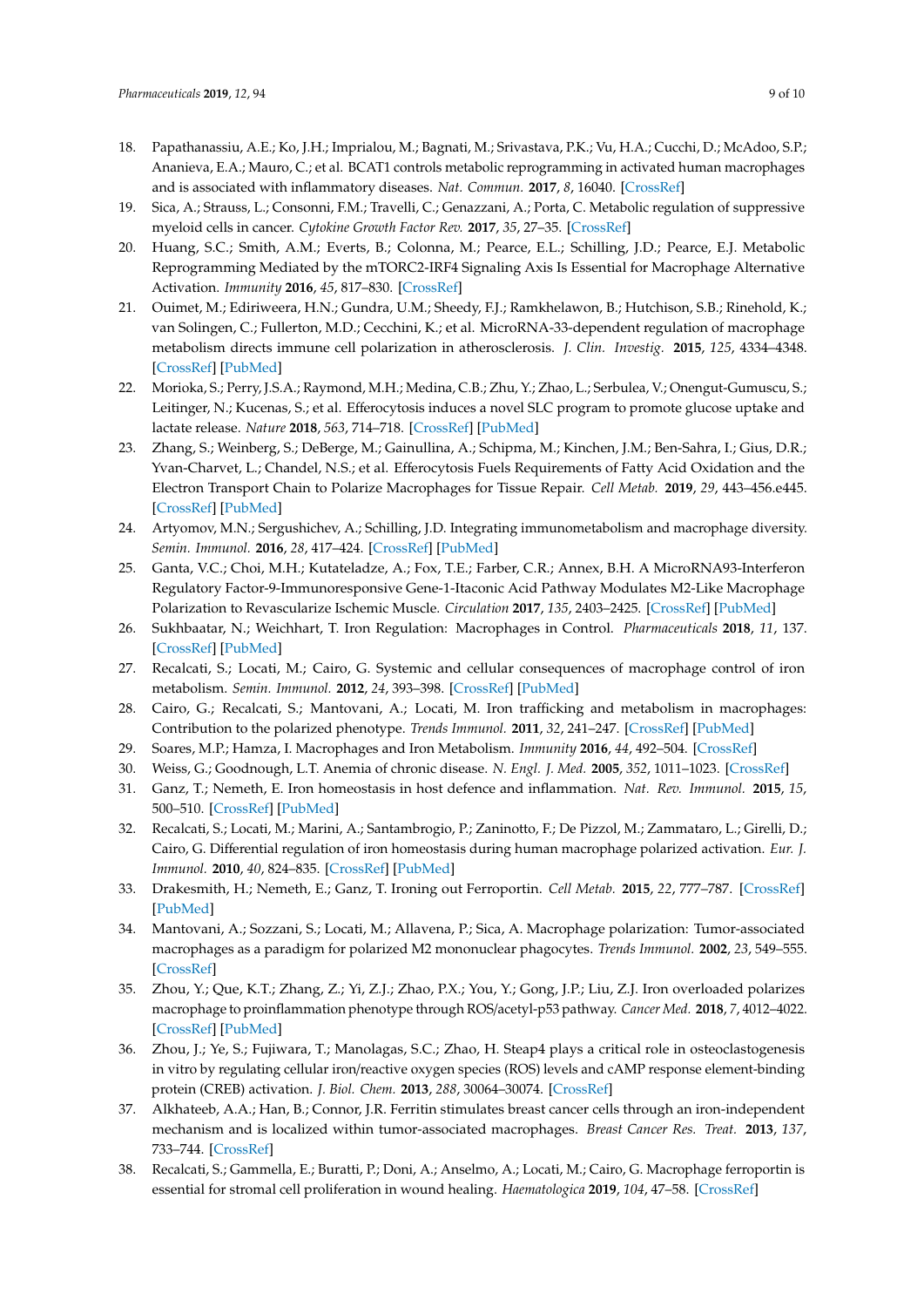- <span id="page-8-0"></span>18. Papathanassiu, A.E.; Ko, J.H.; Imprialou, M.; Bagnati, M.; Srivastava, P.K.; Vu, H.A.; Cucchi, D.; McAdoo, S.P.; Ananieva, E.A.; Mauro, C.; et al. BCAT1 controls metabolic reprogramming in activated human macrophages and is associated with inflammatory diseases. *Nat. Commun.* **2017**, *8*, 16040. [\[CrossRef\]](http://dx.doi.org/10.1038/ncomms16040)
- <span id="page-8-1"></span>19. Sica, A.; Strauss, L.; Consonni, F.M.; Travelli, C.; Genazzani, A.; Porta, C. Metabolic regulation of suppressive myeloid cells in cancer. *Cytokine Growth Factor Rev.* **2017**, *35*, 27–35. [\[CrossRef\]](http://dx.doi.org/10.1016/j.cytogfr.2017.05.002)
- <span id="page-8-2"></span>20. Huang, S.C.; Smith, A.M.; Everts, B.; Colonna, M.; Pearce, E.L.; Schilling, J.D.; Pearce, E.J. Metabolic Reprogramming Mediated by the mTORC2-IRF4 Signaling Axis Is Essential for Macrophage Alternative Activation. *Immunity* **2016**, *45*, 817–830. [\[CrossRef\]](http://dx.doi.org/10.1016/j.immuni.2016.09.016)
- <span id="page-8-3"></span>21. Ouimet, M.; Ediriweera, H.N.; Gundra, U.M.; Sheedy, F.J.; Ramkhelawon, B.; Hutchison, S.B.; Rinehold, K.; van Solingen, C.; Fullerton, M.D.; Cecchini, K.; et al. MicroRNA-33-dependent regulation of macrophage metabolism directs immune cell polarization in atherosclerosis. *J. Clin. Investig.* **2015**, *125*, 4334–4348. [\[CrossRef\]](http://dx.doi.org/10.1172/JCI81676) [\[PubMed\]](http://www.ncbi.nlm.nih.gov/pubmed/26517695)
- <span id="page-8-4"></span>22. Morioka, S.; Perry, J.S.A.; Raymond, M.H.; Medina, C.B.; Zhu, Y.; Zhao, L.; Serbulea, V.; Onengut-Gumuscu, S.; Leitinger, N.; Kucenas, S.; et al. Efferocytosis induces a novel SLC program to promote glucose uptake and lactate release. *Nature* **2018**, *563*, 714–718. [\[CrossRef\]](http://dx.doi.org/10.1038/s41586-018-0735-5) [\[PubMed\]](http://www.ncbi.nlm.nih.gov/pubmed/30464343)
- <span id="page-8-5"></span>23. Zhang, S.; Weinberg, S.; DeBerge, M.; Gainullina, A.; Schipma, M.; Kinchen, J.M.; Ben-Sahra, I.; Gius, D.R.; Yvan-Charvet, L.; Chandel, N.S.; et al. Efferocytosis Fuels Requirements of Fatty Acid Oxidation and the Electron Transport Chain to Polarize Macrophages for Tissue Repair. *Cell Metab.* **2019**, *29*, 443–456.e445. [\[CrossRef\]](http://dx.doi.org/10.1016/j.cmet.2018.12.004) [\[PubMed\]](http://www.ncbi.nlm.nih.gov/pubmed/30595481)
- <span id="page-8-6"></span>24. Artyomov, M.N.; Sergushichev, A.; Schilling, J.D. Integrating immunometabolism and macrophage diversity. *Semin. Immunol.* **2016**, *28*, 417–424. [\[CrossRef\]](http://dx.doi.org/10.1016/j.smim.2016.10.004) [\[PubMed\]](http://www.ncbi.nlm.nih.gov/pubmed/27771140)
- <span id="page-8-7"></span>25. Ganta, V.C.; Choi, M.H.; Kutateladze, A.; Fox, T.E.; Farber, C.R.; Annex, B.H. A MicroRNA93-Interferon Regulatory Factor-9-Immunoresponsive Gene-1-Itaconic Acid Pathway Modulates M2-Like Macrophage Polarization to Revascularize Ischemic Muscle. *Circulation* **2017**, *135*, 2403–2425. [\[CrossRef\]](http://dx.doi.org/10.1161/CIRCULATIONAHA.116.025490) [\[PubMed\]](http://www.ncbi.nlm.nih.gov/pubmed/28356443)
- <span id="page-8-8"></span>26. Sukhbaatar, N.; Weichhart, T. Iron Regulation: Macrophages in Control. *Pharmaceuticals* **2018**, *11*, 137. [\[CrossRef\]](http://dx.doi.org/10.3390/ph11040137) [\[PubMed\]](http://www.ncbi.nlm.nih.gov/pubmed/30558109)
- <span id="page-8-9"></span>27. Recalcati, S.; Locati, M.; Cairo, G. Systemic and cellular consequences of macrophage control of iron metabolism. *Semin. Immunol.* **2012**, *24*, 393–398. [\[CrossRef\]](http://dx.doi.org/10.1016/j.smim.2013.01.001) [\[PubMed\]](http://www.ncbi.nlm.nih.gov/pubmed/23375134)
- <span id="page-8-10"></span>28. Cairo, G.; Recalcati, S.; Mantovani, A.; Locati, M. Iron trafficking and metabolism in macrophages: Contribution to the polarized phenotype. *Trends Immunol.* **2011**, *32*, 241–247. [\[CrossRef\]](http://dx.doi.org/10.1016/j.it.2011.03.007) [\[PubMed\]](http://www.ncbi.nlm.nih.gov/pubmed/21514223)
- <span id="page-8-11"></span>29. Soares, M.P.; Hamza, I. Macrophages and Iron Metabolism. *Immunity* **2016**, *44*, 492–504. [\[CrossRef\]](http://dx.doi.org/10.1016/j.immuni.2016.02.016)
- <span id="page-8-12"></span>30. Weiss, G.; Goodnough, L.T. Anemia of chronic disease. *N. Engl. J. Med.* **2005**, *352*, 1011–1023. [\[CrossRef\]](http://dx.doi.org/10.1056/NEJMra041809)
- <span id="page-8-13"></span>31. Ganz, T.; Nemeth, E. Iron homeostasis in host defence and inflammation. *Nat. Rev. Immunol.* **2015**, *15*, 500–510. [\[CrossRef\]](http://dx.doi.org/10.1038/nri3863) [\[PubMed\]](http://www.ncbi.nlm.nih.gov/pubmed/26160612)
- <span id="page-8-14"></span>32. Recalcati, S.; Locati, M.; Marini, A.; Santambrogio, P.; Zaninotto, F.; De Pizzol, M.; Zammataro, L.; Girelli, D.; Cairo, G. Differential regulation of iron homeostasis during human macrophage polarized activation. *Eur. J. Immunol.* **2010**, *40*, 824–835. [\[CrossRef\]](http://dx.doi.org/10.1002/eji.200939889) [\[PubMed\]](http://www.ncbi.nlm.nih.gov/pubmed/20039303)
- <span id="page-8-15"></span>33. Drakesmith, H.; Nemeth, E.; Ganz, T. Ironing out Ferroportin. *Cell Metab.* **2015**, *22*, 777–787. [\[CrossRef\]](http://dx.doi.org/10.1016/j.cmet.2015.09.006) [\[PubMed\]](http://www.ncbi.nlm.nih.gov/pubmed/26437604)
- <span id="page-8-16"></span>34. Mantovani, A.; Sozzani, S.; Locati, M.; Allavena, P.; Sica, A. Macrophage polarization: Tumor-associated macrophages as a paradigm for polarized M2 mononuclear phagocytes. *Trends Immunol.* **2002**, *23*, 549–555. [\[CrossRef\]](http://dx.doi.org/10.1016/S1471-4906(02)02302-5)
- <span id="page-8-17"></span>35. Zhou, Y.; Que, K.T.; Zhang, Z.; Yi, Z.J.; Zhao, P.X.; You, Y.; Gong, J.P.; Liu, Z.J. Iron overloaded polarizes macrophage to proinflammation phenotype through ROS/acetyl-p53 pathway. *Cancer Med.* **2018**, *7*, 4012–4022. [\[CrossRef\]](http://dx.doi.org/10.1002/cam4.1670) [\[PubMed\]](http://www.ncbi.nlm.nih.gov/pubmed/29989329)
- <span id="page-8-18"></span>36. Zhou, J.; Ye, S.; Fujiwara, T.; Manolagas, S.C.; Zhao, H. Steap4 plays a critical role in osteoclastogenesis in vitro by regulating cellular iron/reactive oxygen species (ROS) levels and cAMP response element-binding protein (CREB) activation. *J. Biol. Chem.* **2013**, *288*, 30064–30074. [\[CrossRef\]](http://dx.doi.org/10.1074/jbc.M113.478750)
- <span id="page-8-19"></span>37. Alkhateeb, A.A.; Han, B.; Connor, J.R. Ferritin stimulates breast cancer cells through an iron-independent mechanism and is localized within tumor-associated macrophages. *Breast Cancer Res. Treat.* **2013**, *137*, 733–744. [\[CrossRef\]](http://dx.doi.org/10.1007/s10549-012-2405-x)
- <span id="page-8-20"></span>38. Recalcati, S.; Gammella, E.; Buratti, P.; Doni, A.; Anselmo, A.; Locati, M.; Cairo, G. Macrophage ferroportin is essential for stromal cell proliferation in wound healing. *Haematologica* **2019**, *104*, 47–58. [\[CrossRef\]](http://dx.doi.org/10.3324/haematol.2018.197517)